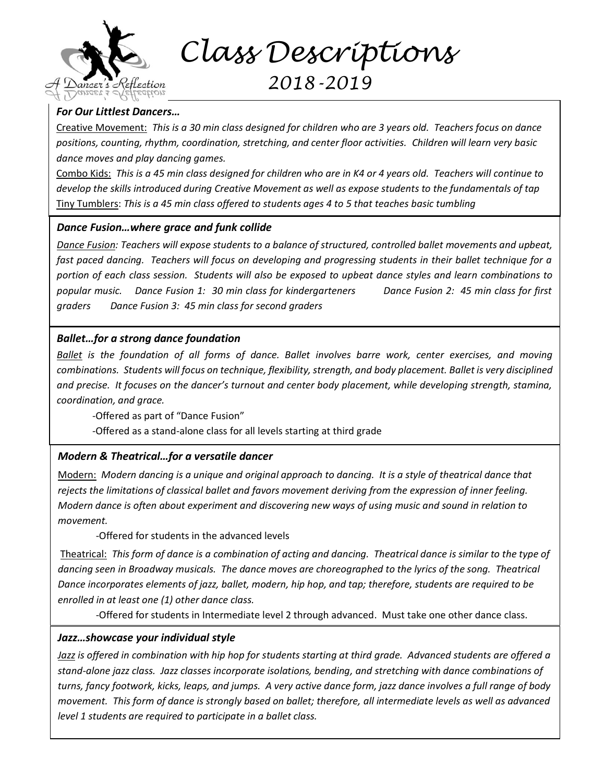

 *Class Descriptions*

# *2018-2019*

### *For Our Littlest Dancers…*

Creative Movement: *This is a 30 min class designed for children who are 3 years old. Teachers focus on dance positions, counting, rhythm, coordination, stretching, and center floor activities. Children will learn very basic dance moves and play dancing games.* 

Combo Kids: *This is a 45 min class designed for children who are in K4 or 4 years old. Teachers will continue to develop the skills introduced during Creative Movement as well as expose students to the fundamentals of tap* Tiny Tumblers: *This is a 45 min class offered to students ages 4 to 5 that teaches basic tumbling*

#### *Dance Fusion…where grace and funk collide*

*Dance Fusion: Teachers will expose students to a balance of structured, controlled ballet movements and upbeat, fast paced dancing. Teachers will focus on developing and progressing students in their ballet technique for a portion of each class session. Students will also be exposed to upbeat dance styles and learn combinations to popular music. Dance Fusion 1: 30 min class for kindergarteners Dance Fusion 2: 45 min class for first graders Dance Fusion 3: 45 min class for second graders*

#### *Ballet…for a strong dance foundation*

*Ballet is the foundation of all forms of dance. Ballet involves barre work, center exercises, and moving combinations. Students will focus on technique, flexibility, strength, and body placement. Ballet is very disciplined and precise. It focuses on the dancer's turnout and center body placement, while developing strength, stamina, coordination, and grace.*

-Offered as part of "Dance Fusion"

-Offered as a stand-alone class for all levels starting at third grade

## *Modern & Theatrical…for a versatile dancer*

Modern: *Modern dancing is a unique and original approach to dancing. It is a style of theatrical dance that rejects the limitations of classical ballet and favors movement deriving from the expression of inner feeling. Modern dance is often about experiment and discovering new ways of using music and sound in relation to movement.* 

-Offered for students in the advanced levels

Theatrical: *This form of dance is a combination of acting and dancing. Theatrical dance is similar to the type of dancing seen in Broadway musicals. The dance moves are choreographed to the lyrics of the song. Theatrical Dance incorporates elements of jazz, ballet, modern, hip hop, and tap; therefore, students are required to be enrolled in at least one (1) other dance class.*

-Offered for students in Intermediate level 2 through advanced. Must take one other dance class.

#### *Jazz…showcase your individual style*

*Jazz is offered in combination with hip hop for students starting at third grade. Advanced students are offered a stand-alone jazz class. Jazz classes incorporate isolations, bending, and stretching with dance combinations of turns, fancy footwork, kicks, leaps, and jumps. A very active dance form, jazz dance involves a full range of body movement. This form of dance is strongly based on ballet; therefore, all intermediate levels as well as advanced level 1 students are required to participate in a ballet class.*